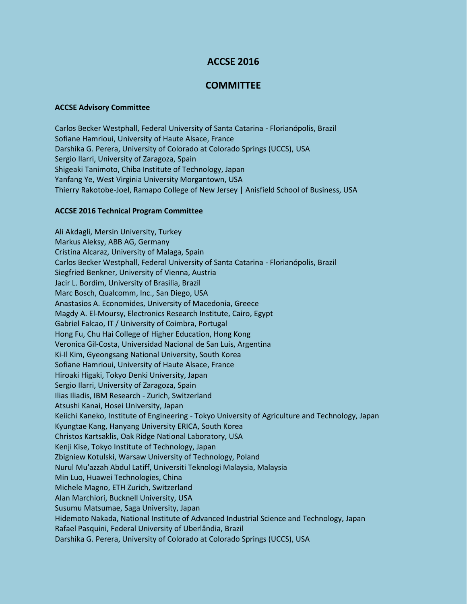## **ACCSE 2016**

## **COMMITTEE**

## **ACCSE Advisory Committee**

Carlos Becker Westphall, Federal University of Santa Catarina - Florianópolis, Brazil Sofiane Hamrioui, University of Haute Alsace, France Darshika G. Perera, University of Colorado at Colorado Springs (UCCS), USA Sergio Ilarri, University of Zaragoza, Spain Shigeaki Tanimoto, Chiba Institute of Technology, Japan Yanfang Ye, West Virginia University Morgantown, USA Thierry Rakotobe-Joel, Ramapo College of New Jersey | Anisfield School of Business, USA

## **ACCSE 2016 Technical Program Committee**

Ali Akdagli, Mersin University, Turkey Markus Aleksy, ABB AG, Germany Cristina Alcaraz, University of Malaga, Spain Carlos Becker Westphall, Federal University of Santa Catarina - Florianópolis, Brazil Siegfried Benkner, University of Vienna, Austria Jacir L. Bordim, University of Brasilia, Brazil Marc Bosch, Qualcomm, Inc., San Diego, USA Anastasios A. Economides, University of Macedonia, Greece Magdy A. El-Moursy, Electronics Research Institute, Cairo, Egypt Gabriel Falcao, IT / University of Coimbra, Portugal Hong Fu, Chu Hai College of Higher Education, Hong Kong Veronica Gil-Costa, Universidad Nacional de San Luis, Argentina Ki-Il Kim, Gyeongsang National University, South Korea Sofiane Hamrioui, University of Haute Alsace, France Hiroaki Higaki, Tokyo Denki University, Japan Sergio Ilarri, University of Zaragoza, Spain Ilias Iliadis, IBM Research - Zurich, Switzerland Atsushi Kanai, Hosei University, Japan Keiichi Kaneko, Institute of Engineering - Tokyo University of Agriculture and Technology, Japan Kyungtae Kang, Hanyang University ERICA, South Korea Christos Kartsaklis, Oak Ridge National Laboratory, USA Kenji Kise, Tokyo Institute of Technology, Japan Zbigniew Kotulski, Warsaw University of Technology, Poland Nurul Mu'azzah Abdul Latiff, Universiti Teknologi Malaysia, Malaysia Min Luo, Huawei Technologies, China Michele Magno, ETH Zurich, Switzerland Alan Marchiori, Bucknell University, USA Susumu Matsumae, Saga University, Japan Hidemoto Nakada, National Institute of Advanced Industrial Science and Technology, Japan Rafael Pasquini, Federal University of Uberlândia, Brazil Darshika G. Perera, University of Colorado at Colorado Springs (UCCS), USA